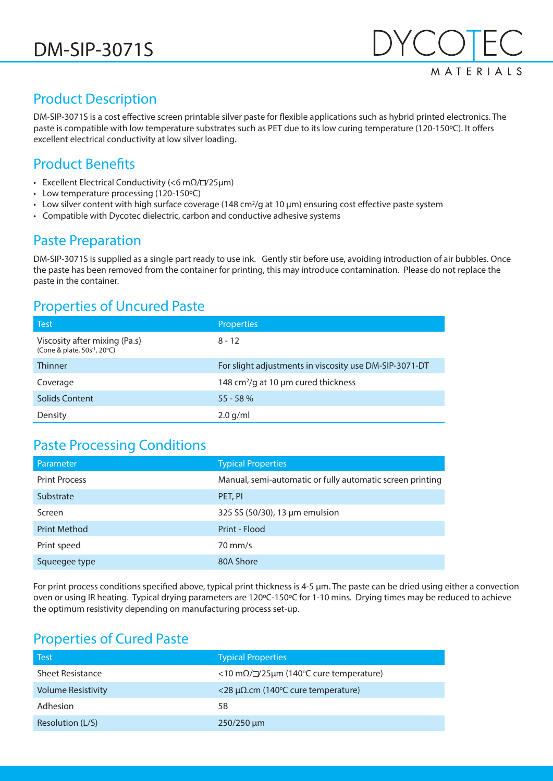

# Product Description

DM-SIP-3071S is a cost effective screen printable silver paste for flexible applications such as hybrid printed electronics. The paste is compatible with low temperature substrates such as PET due to its low curing temperature (120-150ºC). It offers excellent electrical conductivity at low silver loading.

# Product Benefits

- Excellent Electrical Conductivity (<6 m $\Omega$ / $\square$ /25µm)
- Low temperature processing (120-150ºC)
- Low silver content with high surface coverage (148 cm<sup>2</sup>/g at 10  $\mu$ m) ensuring cost effective paste system
- Compatible with Dycotec dielectric, carbon and conductive adhesive systems

# Paste Preparation

DM-SIP-3071S is supplied as a single part ready to use ink. Gently stir before use, avoiding introduction of air bubbles. Once the paste has been removed from the container for printing, this may introduce contamination. Please do not replace the paste in the container.

## Properties of Uncured Paste

| <b>Test</b>                                                               | Properties                                             |
|---------------------------------------------------------------------------|--------------------------------------------------------|
| Viscosity after mixing (Pa.s)<br>(Cone & plate, 50s <sup>-1</sup> , 20°C) | $8 - 12$                                               |
| <b>Thinner</b>                                                            | For slight adjustments in viscosity use DM-SIP-3071-DT |
| Coverage                                                                  | 148 $cm^2$ /g at 10 µm cured thickness                 |
| <b>Solids Content</b>                                                     | $55 - 58%$                                             |
| Density                                                                   | $2.0$ g/ml                                             |

#### Paste Processing Conditions

| <b>Parameter</b>     | <b>Typical Properties</b>                                 |
|----------------------|-----------------------------------------------------------|
| <b>Print Process</b> | Manual, semi-automatic or fully automatic screen printing |
| Substrate            | PET, PI                                                   |
| Screen               | 325 SS (50/30), 13 µm emulsion                            |
| <b>Print Method</b>  | Print - Flood                                             |
| Print speed          | $70 \text{ mm/s}$                                         |
| Squeegee type        | 80A Shore                                                 |

For print process conditions specified above, typical print thickness is 4-5 µm. The paste can be dried using either a convection oven or using IR heating. Typical drying parameters are 120ºC-150ºC for 1-10 mins. Drying times may be reduced to achieve the optimum resistivity depending on manufacturing process set-up.

# Properties of Cured Paste

| l Test                    | <b>Typical Properties</b>                                 |
|---------------------------|-----------------------------------------------------------|
| <b>Sheet Resistance</b>   | <10 m $\Omega$ / $\square$ /25µm (140°C cure temperature) |
| <b>Volume Resistivity</b> | $<$ 28 μΩ.cm (140°C cure temperature)                     |
| Adhesion                  | 5Β                                                        |
| Resolution (L/S)          | $250/250 \mu m$                                           |